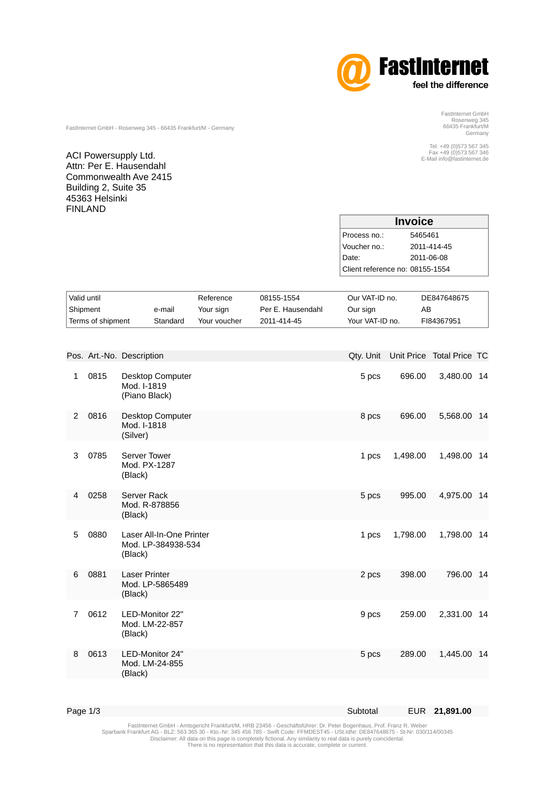

FastInternet GmbH Rosenweg 345 66435 Frankfurt/M Germany

Tel. +49 (0)573 567 345 Fax +49 (0)573 567 346 E-Mail info@fastinternet.de

FastInternet GmbH - Rosenweg 345 - 66435 Frankfurt/M - Germany

ACI Powersupply Ltd. Attn: Per E. Hausendahl Commonwealth Ave 2415 Building 2, Suite 35 45363 Helsinki FINLAND

| <b>Invoice</b>                  |             |  |  |  |
|---------------------------------|-------------|--|--|--|
| Process no.                     | 5465461     |  |  |  |
| Voucher no.:                    | 2011-414-45 |  |  |  |
| Date:                           | 2011-06-08  |  |  |  |
| Client reference no: 08155-1554 |             |  |  |  |
|                                 |             |  |  |  |

| Valid until    | Shipment<br>Terms of shipment |                                         | e-mail<br>Standard                             | Reference<br>Your sign<br>Your voucher | 08155-1554<br>Per E. Hausendahl<br>2011-414-45 | Our VAT-ID no.<br>Our sign<br>Your VAT-ID no. | AB         | DE847648675<br>FI84367951 |     |
|----------------|-------------------------------|-----------------------------------------|------------------------------------------------|----------------------------------------|------------------------------------------------|-----------------------------------------------|------------|---------------------------|-----|
|                | Pos. Art.-No. Description     |                                         |                                                |                                        |                                                | Qty. Unit                                     | Unit Price | Total Price TC            |     |
| $\mathbf{1}$   | 0815                          | Mod. I-1819<br>(Piano Black)            | Desktop Computer                               |                                        |                                                | 5 pcs                                         | 696.00     | 3,480.00 14               |     |
| 2              | 0816                          | Mod. I-1818<br>(Silver)                 | Desktop Computer                               |                                        |                                                | 8 pcs                                         | 696.00     | 5,568.00                  | -14 |
| 3              | 0785                          | Server Tower<br>Mod. PX-1287<br>(Black) |                                                |                                        |                                                | 1 pcs                                         | 1,498.00   | 1,498.00 14               |     |
| 4              | 0258                          | Server Rack<br>Mod. R-878856<br>(Black) |                                                |                                        |                                                | 5 pcs                                         | 995.00     | 4,975.00 14               |     |
| 5              | 0880                          | (Black)                                 | Laser All-In-One Printer<br>Mod. LP-384938-534 |                                        |                                                | 1 pcs                                         | 1,798.00   | 1,798.00 14               |     |
| 6              | 0881                          | <b>Laser Printer</b><br>(Black)         | Mod. LP-5865489                                |                                        |                                                | 2 pcs                                         | 398.00     | 796.00 14                 |     |
| $\overline{7}$ | 0612                          | (Black)                                 | LED-Monitor 22"<br>Mod. LM-22-857              |                                        |                                                | 9 pcs                                         | 259.00     | 2,331.00 14               |     |
| 8              | 0613                          | (Black)                                 | LED-Monitor 24"<br>Mod. LM-24-855              |                                        |                                                | 5 pcs                                         | 289.00     | 1,445.00                  | -14 |

Page 1/3 Subtotal EUR **21,891.00**

FastInternet GmbH - Amtsgericht Frankfurt/M, HRB 23456 - Geschäftsführer: Dr. Peter Bogenhaus, Prof. Franz R. Weber<br>Sparbank Frankfurt AG - BLZ: 563 365 30 - Kto.-Nr: 345 456 785 - Swift Code: FFMDEST45 - USt.IdNr: DE84764 There is no representation that this data is accurate, complete or current.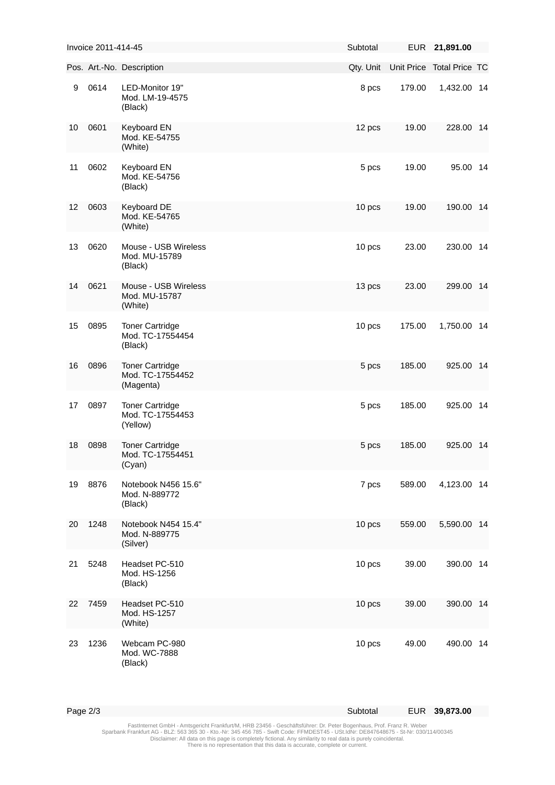|    | Invoice 2011-414-45 |                                                         | Subtotal  | <b>EUR</b> | 21,891.00                 |     |
|----|---------------------|---------------------------------------------------------|-----------|------------|---------------------------|-----|
|    |                     | Pos. Art.-No. Description                               | Qty. Unit |            | Unit Price Total Price TC |     |
| 9  | 0614                | LED-Monitor 19"<br>Mod. LM-19-4575<br>(Black)           | 8 pcs     | 179.00     | 1,432.00 14               |     |
| 10 | 0601                | Keyboard EN<br>Mod. KE-54755<br>(White)                 | 12 pcs    | 19.00      | 228.00 14                 |     |
| 11 | 0602                | Keyboard EN<br>Mod. KE-54756<br>(Black)                 | 5 pcs     | 19.00      | 95.00 14                  |     |
| 12 | 0603                | Keyboard DE<br>Mod. KE-54765<br>(White)                 | 10 pcs    | 19.00      | 190.00 14                 |     |
| 13 | 0620                | Mouse - USB Wireless<br>Mod. MU-15789<br>(Black)        | 10 pcs    | 23.00      | 230.00 14                 |     |
| 14 | 0621                | Mouse - USB Wireless<br>Mod. MU-15787<br>(White)        | 13 pcs    | 23.00      | 299.00 14                 |     |
| 15 | 0895                | <b>Toner Cartridge</b><br>Mod. TC-17554454<br>(Black)   | 10 pcs    | 175.00     | 1,750.00 14               |     |
| 16 | 0896                | <b>Toner Cartridge</b><br>Mod. TC-17554452<br>(Magenta) | 5 pcs     | 185.00     | 925.00 14                 |     |
| 17 | 0897                | <b>Toner Cartridge</b><br>Mod. TC-17554453<br>(Yellow)  | 5 pcs     | 185.00     | 925.00 14                 |     |
| 18 | 0898                | <b>Toner Cartridge</b><br>Mod. TC-17554451<br>(Cyan)    | 5 pcs     | 185.00     | 925.00                    | -14 |
| 19 | 8876                | Notebook N456 15.6"<br>Mod. N-889772<br>(Black)         | 7 pcs     | 589.00     | 4,123.00 14               |     |
| 20 | 1248                | Notebook N454 15.4"<br>Mod. N-889775<br>(Silver)        | 10 pcs    | 559.00     | 5,590.00 14               |     |
| 21 | 5248                | Headset PC-510<br>Mod. HS-1256<br>(Black)               | 10 pcs    | 39.00      | 390.00 14                 |     |
| 22 | 7459                | Headset PC-510<br>Mod. HS-1257<br>(White)               | 10 pcs    | 39.00      | 390.00 14                 |     |
| 23 | 1236                | Webcam PC-980<br>Mod. WC-7888<br>(Black)                | 10 pcs    | 49.00      | 490.00 14                 |     |

Page 2/3 Subtotal EUR **39,873.00**

FastInternet GmbH - Amtsgericht Frankfurt/M, HRB 23456 - Geschäftsführer: Dr. Peter Bogenhaus, Prof. Franz R. Weber<br>Sparbank Frankfurt AG - BLZ: 563 365 30 - Kto.-Nr: 345 456 785 - Swift Code: FFMDEST45 - USt.IdNr: DE84764